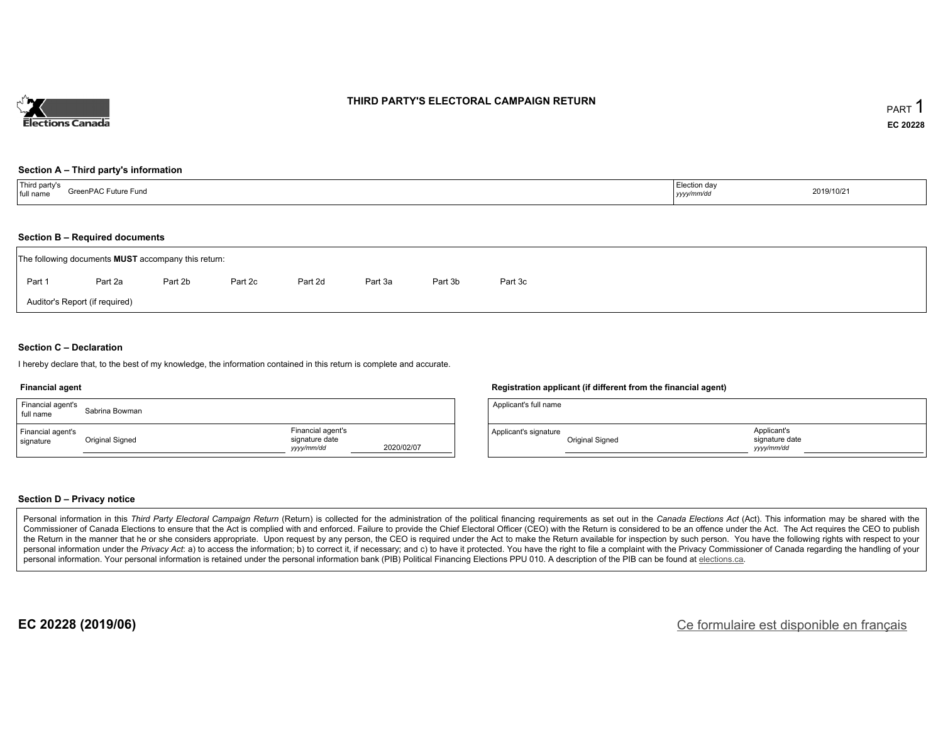

### **THIRD PARTY'S ELECTORAL CAMPAIGN RETURN**

#### **Section A – Third party's information**

| Third party's<br>GreenPAC Future Fund<br>full name | Election day<br>the contract of the contract of the contract of the contract of the contract of<br>yyyy/mm/dc<br>$\sim$ $\sim$ | 2019/10/21 |
|----------------------------------------------------|--------------------------------------------------------------------------------------------------------------------------------|------------|
|----------------------------------------------------|--------------------------------------------------------------------------------------------------------------------------------|------------|

### **Section B – Required documents**

|                                | The following documents <b>MUST</b> accompany this return: |         |         |         |         |         |         |  |  |  |  |  |
|--------------------------------|------------------------------------------------------------|---------|---------|---------|---------|---------|---------|--|--|--|--|--|
| Part 1                         | Part 2a                                                    | Part 2b | Part 2c | Part 2d | Part 3a | Part 3b | Part 3c |  |  |  |  |  |
| Auditor's Report (if required) |                                                            |         |         |         |         |         |         |  |  |  |  |  |

### **Section C – Declaration**

I hereby declare that, to the best of my knowledge, the information contained in this return is complete and accurate.

#### **Financial agent**

| Financial agent's<br>full name | Sabrina Bowman  |                                                   |            |
|--------------------------------|-----------------|---------------------------------------------------|------------|
| Financial agent's<br>signature | Original Signed | Financial agent's<br>signature date<br>yyyy/mm/dd | 2020/02/07 |

### **Registration applicant (if different from the financial agent)**

| Applicant's full name |                 |                                            |  |
|-----------------------|-----------------|--------------------------------------------|--|
| Applicant's signature | Original Signed | Applicant's<br>signature date<br>vyy/mm/dd |  |

### **Section D – Privacy notice**

Personal information in this Third Party Electoral Campaign Return (Return) is collected for the administration of the political financing requirements as set out in the Canada Elections Act (Act). This information may be Commissioner of Canada Elections to ensure that the Act is complied with and enforced. Failure to provide the Chief Electoral Officer (CEO) with the Return is considered to be an offence under the Act. The Act requires the the Return in the manner that he or she considers appropriate. Upon request by any person, the CEO is required under the Act to make the Return available for inspection by such person. You have the following rights with re personal information under the Privacy Act: a) to access the information; b) to correct it, if necessary; and c) to have it protected. You have the right to file a complaint with the Privacy Commissioner of Canada regardin personal information. Your personal information is retained under the personal information bank (PIB) Political Financing Elections PPU 010. A description of the PIB can be found at elections.ca.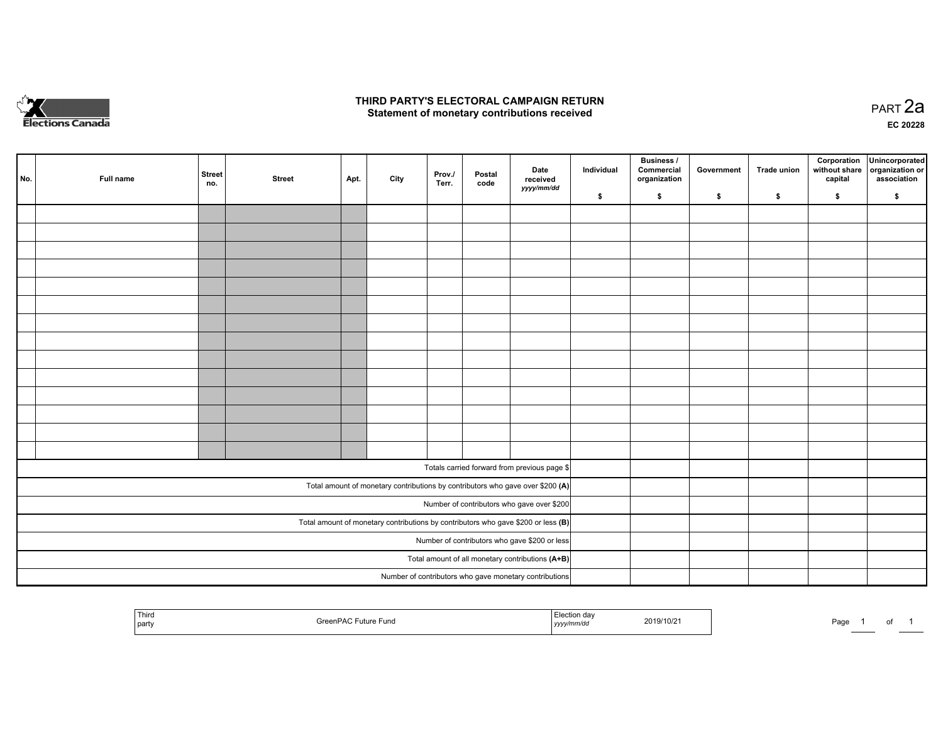

### **THIRD PARTY'S ELECTORAL CAMPAIGN RETURN HIRD PARTY'S ELECTORAL CAMPAIGN RETURN<br>Statement of monetary contributions received PART 2a PART 2a**

**EC 20228**

| No. | Full name | <b>Street</b><br>no. | <b>Street</b> | Apt. | City | Prov./<br>Terr. | Postal<br>code | Date<br>received                                                                    | Individual | <b>Business /</b><br>Commercial<br>organization | Government | Trade union | Corporation<br>without share<br>capital | Unincorporated<br>organization or<br>association |
|-----|-----------|----------------------|---------------|------|------|-----------------|----------------|-------------------------------------------------------------------------------------|------------|-------------------------------------------------|------------|-------------|-----------------------------------------|--------------------------------------------------|
|     |           |                      |               |      |      |                 |                | yyyy/mm/dd                                                                          | \$         | \$                                              | \$         | \$          | \$                                      | \$                                               |
|     |           |                      |               |      |      |                 |                |                                                                                     |            |                                                 |            |             |                                         |                                                  |
|     |           |                      |               |      |      |                 |                |                                                                                     |            |                                                 |            |             |                                         |                                                  |
|     |           |                      |               |      |      |                 |                |                                                                                     |            |                                                 |            |             |                                         |                                                  |
|     |           |                      |               |      |      |                 |                |                                                                                     |            |                                                 |            |             |                                         |                                                  |
|     |           |                      |               |      |      |                 |                |                                                                                     |            |                                                 |            |             |                                         |                                                  |
|     |           |                      |               |      |      |                 |                |                                                                                     |            |                                                 |            |             |                                         |                                                  |
|     |           |                      |               |      |      |                 |                |                                                                                     |            |                                                 |            |             |                                         |                                                  |
|     |           |                      |               |      |      |                 |                |                                                                                     |            |                                                 |            |             |                                         |                                                  |
|     |           |                      |               |      |      |                 |                |                                                                                     |            |                                                 |            |             |                                         |                                                  |
|     |           |                      |               |      |      |                 |                |                                                                                     |            |                                                 |            |             |                                         |                                                  |
|     |           |                      |               |      |      |                 |                |                                                                                     |            |                                                 |            |             |                                         |                                                  |
|     |           |                      |               |      |      |                 |                |                                                                                     |            |                                                 |            |             |                                         |                                                  |
|     |           |                      |               |      |      |                 |                |                                                                                     |            |                                                 |            |             |                                         |                                                  |
|     |           |                      |               |      |      |                 |                |                                                                                     |            |                                                 |            |             |                                         |                                                  |
|     |           |                      |               |      |      |                 |                | Totals carried forward from previous page \$                                        |            |                                                 |            |             |                                         |                                                  |
|     |           |                      |               |      |      |                 |                | Total amount of monetary contributions by contributors who gave over \$200 (A)      |            |                                                 |            |             |                                         |                                                  |
|     |           |                      |               |      |      |                 |                | Number of contributors who gave over \$200                                          |            |                                                 |            |             |                                         |                                                  |
|     |           |                      |               |      |      |                 |                | Total amount of monetary contributions by contributors who gave \$200 or less $(B)$ |            |                                                 |            |             |                                         |                                                  |
|     |           |                      |               |      |      |                 |                | Number of contributors who gave \$200 or less                                       |            |                                                 |            |             |                                         |                                                  |
|     |           |                      |               |      |      |                 |                | Total amount of all monetary contributions (A+B)                                    |            |                                                 |            |             |                                         |                                                  |
|     |           |                      |               |      |      |                 |                | Number of contributors who gave monetary contributions                              |            |                                                 |            |             |                                         |                                                  |

| Thiro<br>  party | $\mathcal{L}$<br>.<br>ture Fund | mmvuc<br>, , , , , | 2019/10/2 | Page | ______ | $\cdot$ |  |
|------------------|---------------------------------|--------------------|-----------|------|--------|---------|--|
|------------------|---------------------------------|--------------------|-----------|------|--------|---------|--|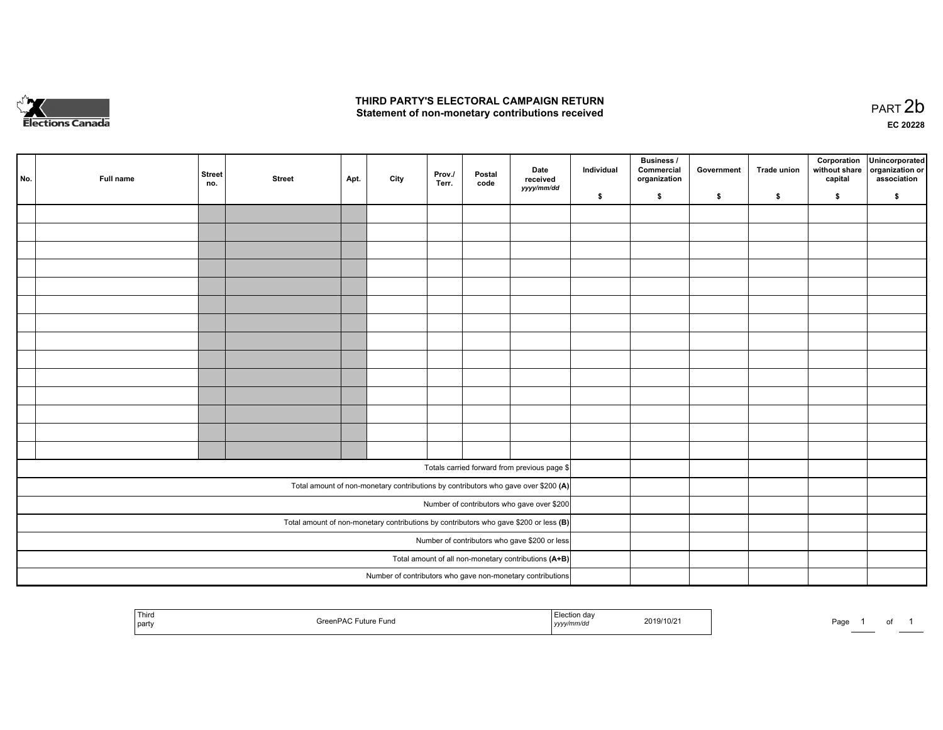

## **THIRD PARTY'S ELECTORAL CAMPAIGN RETURN**  THIRD PARTY'S ELECTORAL CAMPAIGN RETURN<br>Statement of non-monetary contributions received

of 1

| No.                                                  | Full name | <b>Street</b><br>no. | <b>Street</b> | Apt. | City | Prov.<br>Terr. | Postal<br>code | Date<br>received<br>yyyy/mm/dd                                                          | Individual | <b>Business /</b><br>Commercial<br>organization | Government | Trade union | Corporation<br>without share<br>capital | Unincorporated<br>organization or<br>association |
|------------------------------------------------------|-----------|----------------------|---------------|------|------|----------------|----------------|-----------------------------------------------------------------------------------------|------------|-------------------------------------------------|------------|-------------|-----------------------------------------|--------------------------------------------------|
|                                                      |           |                      |               |      |      |                |                |                                                                                         | \$         | \$                                              | \$         | \$          | \$                                      | \$                                               |
|                                                      |           |                      |               |      |      |                |                |                                                                                         |            |                                                 |            |             |                                         |                                                  |
|                                                      |           |                      |               |      |      |                |                |                                                                                         |            |                                                 |            |             |                                         |                                                  |
|                                                      |           |                      |               |      |      |                |                |                                                                                         |            |                                                 |            |             |                                         |                                                  |
|                                                      |           |                      |               |      |      |                |                |                                                                                         |            |                                                 |            |             |                                         |                                                  |
|                                                      |           |                      |               |      |      |                |                |                                                                                         |            |                                                 |            |             |                                         |                                                  |
|                                                      |           |                      |               |      |      |                |                |                                                                                         |            |                                                 |            |             |                                         |                                                  |
|                                                      |           |                      |               |      |      |                |                |                                                                                         |            |                                                 |            |             |                                         |                                                  |
|                                                      |           |                      |               |      |      |                |                |                                                                                         |            |                                                 |            |             |                                         |                                                  |
|                                                      |           |                      |               |      |      |                |                |                                                                                         |            |                                                 |            |             |                                         |                                                  |
|                                                      |           |                      |               |      |      |                |                |                                                                                         |            |                                                 |            |             |                                         |                                                  |
|                                                      |           |                      |               |      |      |                |                |                                                                                         |            |                                                 |            |             |                                         |                                                  |
|                                                      |           |                      |               |      |      |                |                |                                                                                         |            |                                                 |            |             |                                         |                                                  |
|                                                      |           |                      |               |      |      |                |                |                                                                                         |            |                                                 |            |             |                                         |                                                  |
|                                                      |           |                      |               |      |      |                |                |                                                                                         |            |                                                 |            |             |                                         |                                                  |
|                                                      |           |                      |               |      |      |                |                |                                                                                         |            |                                                 |            |             |                                         |                                                  |
|                                                      |           |                      |               |      |      |                |                | Totals carried forward from previous page \$                                            |            |                                                 |            |             |                                         |                                                  |
|                                                      |           |                      |               |      |      |                |                | Total amount of non-monetary contributions by contributors who gave over \$200 (A)      |            |                                                 |            |             |                                         |                                                  |
|                                                      |           |                      |               |      |      |                |                | Number of contributors who gave over \$200                                              |            |                                                 |            |             |                                         |                                                  |
|                                                      |           |                      |               |      |      |                |                | Total amount of non-monetary contributions by contributors who gave \$200 or less $(B)$ |            |                                                 |            |             |                                         |                                                  |
|                                                      |           |                      |               |      |      |                |                | Number of contributors who gave \$200 or less                                           |            |                                                 |            |             |                                         |                                                  |
| Total amount of all non-monetary contributions (A+B) |           |                      |               |      |      |                |                |                                                                                         |            |                                                 |            |             |                                         |                                                  |
|                                                      |           |                      |               |      |      |                |                | Number of contributors who gave non-monetary contributions                              |            |                                                 |            |             |                                         |                                                  |
|                                                      |           |                      |               |      |      |                |                |                                                                                         |            |                                                 |            |             |                                         |                                                  |

| Third<br>aon dav<br>2019/10/21<br>≧reenP∆∩<br>` Future Fund<br>l party<br>v/mm/da<br>,,,, | Page<br>$\sim$ 100 $\mu$ |
|-------------------------------------------------------------------------------------------|--------------------------|
|-------------------------------------------------------------------------------------------|--------------------------|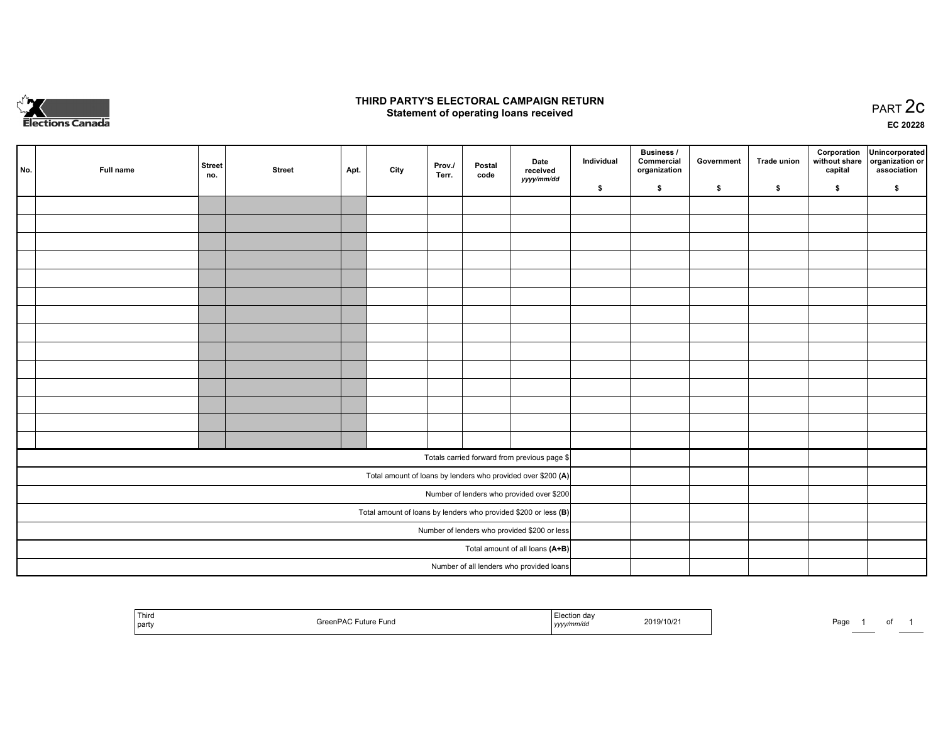

## **THIRD PARTY'S ELECTORAL CAMPAIGN RETURN STATE:** PRACT OF OPPRESS TO PART 2C STATE STATE STATE STATE STATE STATE STATE STATE STATE STATE STATE STATE STA<br>PART 2C Statement of operating loans received

**EC 20228**

| No. | Full name | <b>Street</b><br>no. | <b>Street</b> | Apt. | City | Prov./<br>Terr. | Postal<br>code | Date<br>received                                                | Individual | <b>Business /</b><br>Commercial<br>organization | Government | <b>Trade union</b> | Corporation<br>capital | Unincorporated<br>without share   organization or<br>association |
|-----|-----------|----------------------|---------------|------|------|-----------------|----------------|-----------------------------------------------------------------|------------|-------------------------------------------------|------------|--------------------|------------------------|------------------------------------------------------------------|
|     |           |                      |               |      |      |                 |                | yyyy/mm/dd                                                      | \$         | \$                                              | \$         | \$                 | \$                     | \$                                                               |
|     |           |                      |               |      |      |                 |                |                                                                 |            |                                                 |            |                    |                        |                                                                  |
|     |           |                      |               |      |      |                 |                |                                                                 |            |                                                 |            |                    |                        |                                                                  |
|     |           |                      |               |      |      |                 |                |                                                                 |            |                                                 |            |                    |                        |                                                                  |
|     |           |                      |               |      |      |                 |                |                                                                 |            |                                                 |            |                    |                        |                                                                  |
|     |           |                      |               |      |      |                 |                |                                                                 |            |                                                 |            |                    |                        |                                                                  |
|     |           |                      |               |      |      |                 |                |                                                                 |            |                                                 |            |                    |                        |                                                                  |
|     |           |                      |               |      |      |                 |                |                                                                 |            |                                                 |            |                    |                        |                                                                  |
|     |           |                      |               |      |      |                 |                |                                                                 |            |                                                 |            |                    |                        |                                                                  |
|     |           |                      |               |      |      |                 |                |                                                                 |            |                                                 |            |                    |                        |                                                                  |
|     |           |                      |               |      |      |                 |                |                                                                 |            |                                                 |            |                    |                        |                                                                  |
|     |           |                      |               |      |      |                 |                |                                                                 |            |                                                 |            |                    |                        |                                                                  |
|     |           |                      |               |      |      |                 |                |                                                                 |            |                                                 |            |                    |                        |                                                                  |
|     |           |                      |               |      |      |                 |                |                                                                 |            |                                                 |            |                    |                        |                                                                  |
|     |           |                      |               |      |      |                 |                |                                                                 |            |                                                 |            |                    |                        |                                                                  |
|     |           |                      |               |      |      |                 |                | Totals carried forward from previous page \$                    |            |                                                 |            |                    |                        |                                                                  |
|     |           |                      |               |      |      |                 |                | Total amount of loans by lenders who provided over \$200 (A)    |            |                                                 |            |                    |                        |                                                                  |
|     |           |                      |               |      |      |                 |                | Number of lenders who provided over \$200                       |            |                                                 |            |                    |                        |                                                                  |
|     |           |                      |               |      |      |                 |                | Total amount of loans by lenders who provided \$200 or less (B) |            |                                                 |            |                    |                        |                                                                  |
|     |           |                      |               |      |      |                 |                | Number of lenders who provided \$200 or less                    |            |                                                 |            |                    |                        |                                                                  |
|     |           |                      |               |      |      |                 |                | Total amount of all loans (A+B)                                 |            |                                                 |            |                    |                        |                                                                  |
|     |           |                      |               |      |      |                 |                | Number of all lenders who provided loans                        |            |                                                 |            |                    |                        |                                                                  |

| Third<br>GreenPAC Future Fund<br>party | ⊣ Election da∙<br>2019/10/21<br>$11111$ u<br>, уууут<br>$\sim$ $\sim$ | Page<br>וח |  |
|----------------------------------------|-----------------------------------------------------------------------|------------|--|
|----------------------------------------|-----------------------------------------------------------------------|------------|--|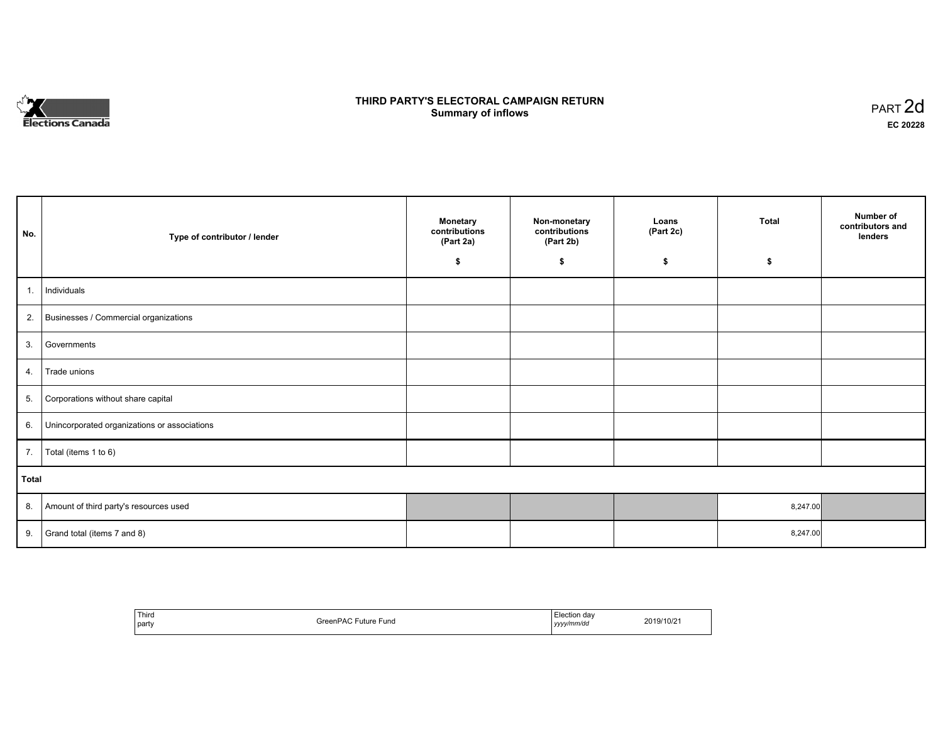

## **THIRD PARTY'S ELECTORAL CAMPAIGN RETURN S** ELECTORAL CAMPAIGN RETURN<br>Summary of inflows PART 2d

| No.   | Type of contributor / lender                 | <b>Monetary</b><br>contributions<br>(Part 2a)<br>\$ | Non-monetary<br>contributions<br>(Part 2b)<br>\$ | Loans<br>(Part 2c)<br>\$ | <b>Total</b><br>\$ | Number of<br>contributors and<br>lenders |  |  |  |
|-------|----------------------------------------------|-----------------------------------------------------|--------------------------------------------------|--------------------------|--------------------|------------------------------------------|--|--|--|
|       |                                              |                                                     |                                                  |                          |                    |                                          |  |  |  |
| 1.    | Individuals                                  |                                                     |                                                  |                          |                    |                                          |  |  |  |
|       | 2. Businesses / Commercial organizations     |                                                     |                                                  |                          |                    |                                          |  |  |  |
| 3.    | Governments                                  |                                                     |                                                  |                          |                    |                                          |  |  |  |
| 4.    | Trade unions                                 |                                                     |                                                  |                          |                    |                                          |  |  |  |
| 5.    | Corporations without share capital           |                                                     |                                                  |                          |                    |                                          |  |  |  |
| 6.    | Unincorporated organizations or associations |                                                     |                                                  |                          |                    |                                          |  |  |  |
| 7.    | Total (items 1 to 6)                         |                                                     |                                                  |                          |                    |                                          |  |  |  |
| Total |                                              |                                                     |                                                  |                          |                    |                                          |  |  |  |
| 8.    | Amount of third party's resources used       |                                                     |                                                  |                          | 8,247.00           |                                          |  |  |  |
| 9.    | Grand total (items 7 and 8)                  |                                                     |                                                  |                          | 8,247.00           |                                          |  |  |  |

| Third<br>  party | $\overline{\phantom{a}}$<br>GreenPAC<br>ruture <sup>r</sup><br>Fund<br>. | Election day<br>.<br>  yyyy/mm/dd | 2019/10/2 |
|------------------|--------------------------------------------------------------------------|-----------------------------------|-----------|
|------------------|--------------------------------------------------------------------------|-----------------------------------|-----------|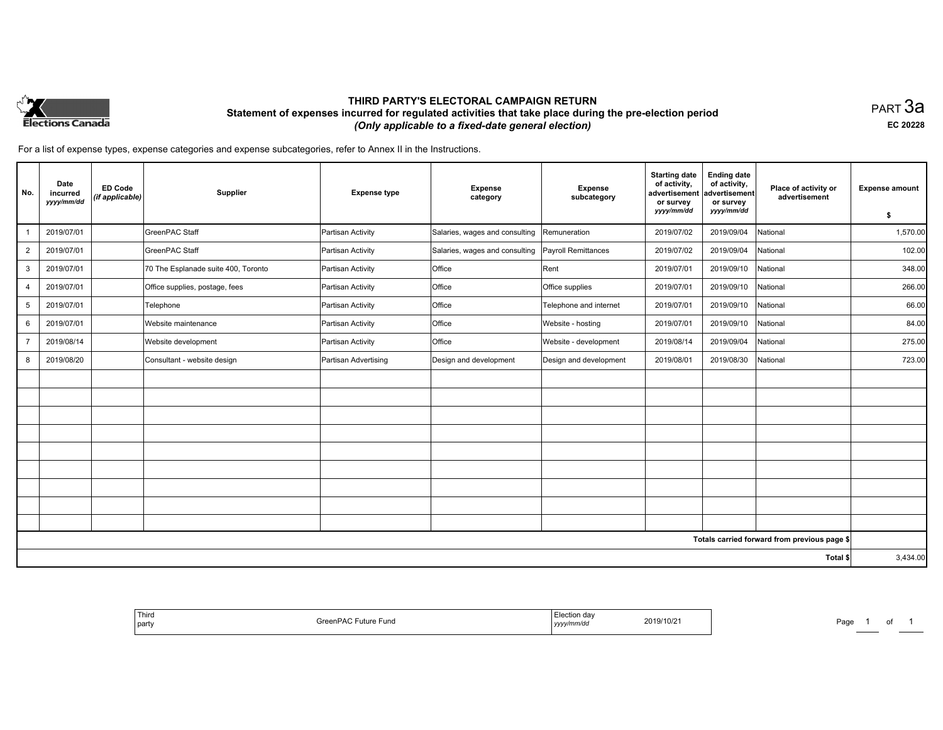

## **THIRD PARTY'S ELECTORAL CAMPAIGN RETURN Statement of expenses incurred for regulated activities that take place during the pre-election period**  *(Only applicable to a fixed-date general election)*

PART 3a **EC 20228**

For a list of expense types, expense categories and expense subcategories, refer to Annex II in the Instructions.

| No.            | Date<br>incurred<br>yyyy/mm/dd | <b>ED Code</b><br>(if applicable) | Supplier                            | <b>Expense type</b>  | <b>Expense</b><br>category     | <b>Expense</b><br>subcategory | <b>Starting date</b><br>of activity,<br>advertisement<br>or survey<br>yyyy/mm/dd | <b>Ending date</b><br>of activity,<br>advertisement<br>or survey<br>yyyy/mm/dd | Place of activity or<br>advertisement        | <b>Expense amount</b><br>\$ |
|----------------|--------------------------------|-----------------------------------|-------------------------------------|----------------------|--------------------------------|-------------------------------|----------------------------------------------------------------------------------|--------------------------------------------------------------------------------|----------------------------------------------|-----------------------------|
|                | 2019/07/01                     |                                   | GreenPAC Staff                      | Partisan Activity    | Salaries, wages and consulting | Remuneration                  | 2019/07/02                                                                       | 2019/09/04                                                                     | National                                     | 1,570.00                    |
| $\overline{2}$ | 2019/07/01                     |                                   | GreenPAC Staff                      | Partisan Activity    | Salaries, wages and consulting | Payroll Remittances           | 2019/07/02                                                                       | 2019/09/04                                                                     | National                                     | 102.00                      |
| 3              | 2019/07/01                     |                                   | 70 The Esplanade suite 400, Toronto | Partisan Activity    | <b>Office</b>                  | Rent                          | 2019/07/01                                                                       | 2019/09/10                                                                     | National                                     | 348.00                      |
| $\overline{4}$ | 2019/07/01                     |                                   | Office supplies, postage, fees      | Partisan Activity    | Office                         | Office supplies               | 2019/07/01                                                                       | 2019/09/10                                                                     | National                                     | 266.00                      |
| 5              | 2019/07/01                     |                                   | Telephone                           | Partisan Activity    | Office                         | Telephone and internet        | 2019/07/01                                                                       | 2019/09/10                                                                     | National                                     | 66.00                       |
| 6              | 2019/07/01                     |                                   | Website maintenance                 | Partisan Activity    | Office                         | Website - hosting             | 2019/07/01                                                                       | 2019/09/10                                                                     | National                                     | 84.00                       |
| $\overline{7}$ | 2019/08/14                     |                                   | Website development                 | Partisan Activity    | Office                         | Website - development         | 2019/08/14                                                                       | 2019/09/04                                                                     | National                                     | 275.00                      |
| 8              | 2019/08/20                     |                                   | Consultant - website design         | Partisan Advertising | Design and development         | Design and development        | 2019/08/01                                                                       | 2019/08/30                                                                     | National                                     | 723.00                      |
|                |                                |                                   |                                     |                      |                                |                               |                                                                                  |                                                                                |                                              |                             |
|                |                                |                                   |                                     |                      |                                |                               |                                                                                  |                                                                                |                                              |                             |
|                |                                |                                   |                                     |                      |                                |                               |                                                                                  |                                                                                |                                              |                             |
|                |                                |                                   |                                     |                      |                                |                               |                                                                                  |                                                                                |                                              |                             |
|                |                                |                                   |                                     |                      |                                |                               |                                                                                  |                                                                                |                                              |                             |
|                |                                |                                   |                                     |                      |                                |                               |                                                                                  |                                                                                |                                              |                             |
|                |                                |                                   |                                     |                      |                                |                               |                                                                                  |                                                                                |                                              |                             |
|                |                                |                                   |                                     |                      |                                |                               |                                                                                  |                                                                                |                                              |                             |
|                |                                |                                   |                                     |                      |                                |                               |                                                                                  |                                                                                |                                              |                             |
|                |                                |                                   |                                     |                      |                                |                               |                                                                                  |                                                                                | Totals carried forward from previous page \$ |                             |
|                |                                |                                   |                                     |                      |                                |                               |                                                                                  |                                                                                | Total \$                                     | 3,434.00                    |

| Third<br>  party | $\Box$ en $P^{\wedge}$<br>Greenl<br><sup>⊏</sup> uture Fund<br><b>10</b> | ⊨lection dav<br>2019/10/2<br>yyyymm/ac | Page |
|------------------|--------------------------------------------------------------------------|----------------------------------------|------|
|------------------|--------------------------------------------------------------------------|----------------------------------------|------|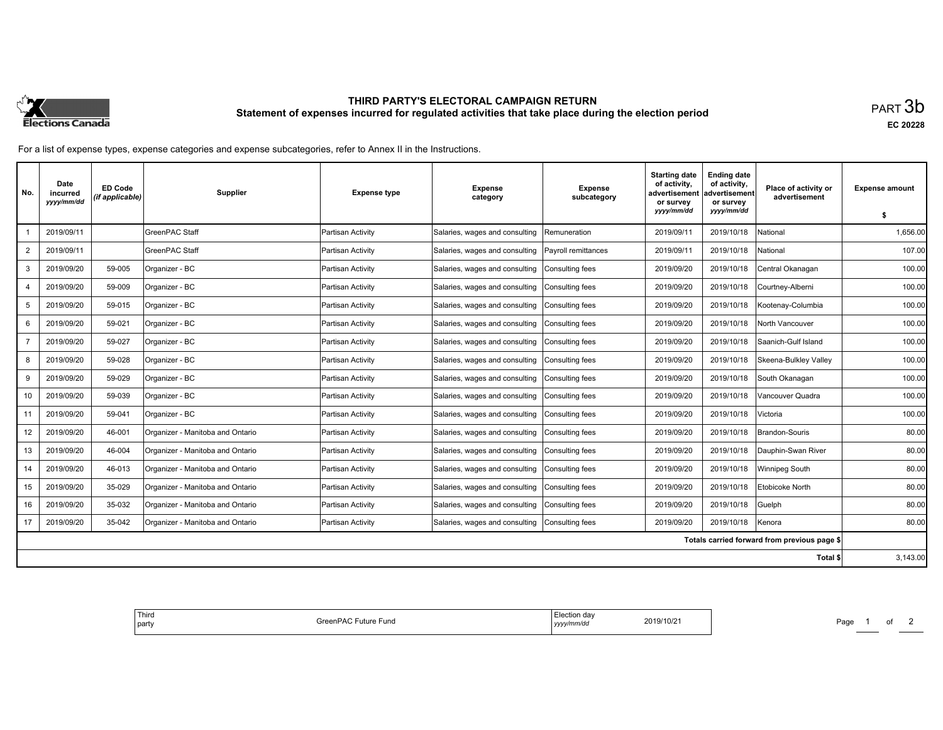

# **THIRD PARTY'S ELECTORAL CAMPAIGN RETURN Statement of expenses incurred for regulated activities that take place during the election period**<br>PART  $3\mathsf{b}$

**EC 20228**

For a list of expense types, expense categories and expense subcategories, refer to Annex II in the Instructions.

| No.            | Date<br>incurred<br>yyyy/mm/dd | <b>ED Code</b><br>(if applicable) | Supplier                         | <b>Expense type</b> | <b>Expense</b><br>category     | <b>Expense</b><br>subcategory | <b>Starting date</b><br>of activity,<br>advertisement<br>or survey | <b>Ending date</b><br>of activity,<br>advertisement<br>or survey | Place of activity or<br>advertisement        | <b>Expense amount</b> |
|----------------|--------------------------------|-----------------------------------|----------------------------------|---------------------|--------------------------------|-------------------------------|--------------------------------------------------------------------|------------------------------------------------------------------|----------------------------------------------|-----------------------|
|                |                                |                                   |                                  |                     |                                |                               | yyyy/mm/dd                                                         | yyyy/mm/dd                                                       |                                              | \$                    |
|                | 2019/09/11                     |                                   | <b>GreenPAC Staff</b>            | Partisan Activity   | Salaries, wages and consulting | Remuneration                  | 2019/09/11                                                         | 2019/10/18                                                       | National                                     | 1,656.00              |
| $\overline{2}$ | 2019/09/11                     |                                   | GreenPAC Staff                   | Partisan Activity   | Salaries, wages and consulting | Payroll remittances           | 2019/09/11                                                         | 2019/10/18                                                       | National                                     | 107.00                |
| 3              | 2019/09/20                     | 59-005                            | Organizer - BC                   | Partisan Activity   | Salaries, wages and consulting | Consulting fees               | 2019/09/20                                                         | 2019/10/18                                                       | Central Okanagan                             | 100.00                |
| 4              | 2019/09/20                     | 59-009                            | Organizer - BC                   | Partisan Activity   | Salaries, wages and consulting | Consulting fees               | 2019/09/20                                                         | 2019/10/18                                                       | Courtney-Alberni                             | 100.00                |
| 5              | 2019/09/20                     | 59-015                            | Organizer - BC                   | Partisan Activity   | Salaries, wages and consulting | Consulting fees               | 2019/09/20                                                         | 2019/10/18                                                       | Kootenay-Columbia                            | 100.00                |
| 6              | 2019/09/20                     | 59-021                            | Organizer - BC                   | Partisan Activity   | Salaries, wages and consulting | Consulting fees               | 2019/09/20                                                         | 2019/10/18                                                       | North Vancouver                              | 100.00                |
|                | 2019/09/20                     | 59-027                            | Organizer - BC                   | Partisan Activity   | Salaries, wages and consulting | Consulting fees               | 2019/09/20                                                         | 2019/10/18                                                       | Saanich-Gulf Island                          | 100.00                |
| 8              | 2019/09/20                     | 59-028                            | Organizer - BC                   | Partisan Activity   | Salaries, wages and consulting | Consulting fees               | 2019/09/20                                                         | 2019/10/18                                                       | Skeena-Bulkley Valley                        | 100.00                |
| 9              | 2019/09/20                     | 59-029                            | Organizer - BC                   | Partisan Activity   | Salaries, wages and consulting | Consulting fees               | 2019/09/20                                                         | 2019/10/18                                                       | South Okanagan                               | 100.00                |
| 10             | 2019/09/20                     | 59-039                            | Organizer - BC                   | Partisan Activity   | Salaries, wages and consulting | Consulting fees               | 2019/09/20                                                         | 2019/10/18                                                       | Vancouver Quadra                             | 100.00                |
| 11             | 2019/09/20                     | 59-041                            | Organizer - BC                   | Partisan Activity   | Salaries, wages and consulting | Consulting fees               | 2019/09/20                                                         | 2019/10/18                                                       | <b>Victoria</b>                              | 100.00                |
| 12             | 2019/09/20                     | 46-001                            | Organizer - Manitoba and Ontario | Partisan Activity   | Salaries, wages and consulting | Consulting fees               | 2019/09/20                                                         | 2019/10/18                                                       | <b>Brandon-Souris</b>                        | 80.00                 |
| 13             | 2019/09/20                     | 46-004                            | Organizer - Manitoba and Ontario | Partisan Activity   | Salaries, wages and consulting | Consulting fees               | 2019/09/20                                                         | 2019/10/18                                                       | Dauphin-Swan River                           | 80.00                 |
| 14             | 2019/09/20                     | 46-013                            | Organizer - Manitoba and Ontario | Partisan Activity   | Salaries, wages and consulting | Consulting fees               | 2019/09/20                                                         | 2019/10/18                                                       | Winnipeg South                               | 80.00                 |
| 15             | 2019/09/20                     | 35-029                            | Organizer - Manitoba and Ontario | Partisan Activity   | Salaries, wages and consulting | Consulting fees               | 2019/09/20                                                         | 2019/10/18                                                       | Etobicoke North                              | 80.00                 |
| 16             | 2019/09/20                     | 35-032                            | Organizer - Manitoba and Ontario | Partisan Activity   | Salaries, wages and consulting | Consulting fees               | 2019/09/20                                                         | 2019/10/18                                                       | Guelph                                       | 80.00                 |
| 17             | 2019/09/20                     | 35-042                            | Organizer - Manitoba and Ontario | Partisan Activity   | Salaries, wages and consulting | Consulting fees               | 2019/09/20                                                         | 2019/10/18                                                       | Kenora                                       | 80.00                 |
|                |                                |                                   |                                  |                     |                                |                               |                                                                    |                                                                  | Totals carried forward from previous page \$ |                       |
|                |                                |                                   |                                  |                     |                                |                               |                                                                    |                                                                  | Total \$                                     | 3,143.00              |

| tion davٽ<br>2019/10/2<br>-und<br>⊡uture<br>'mm⁄da<br>,,,, | Third<br>party |
|------------------------------------------------------------|----------------|
|------------------------------------------------------------|----------------|

Page 1 of 2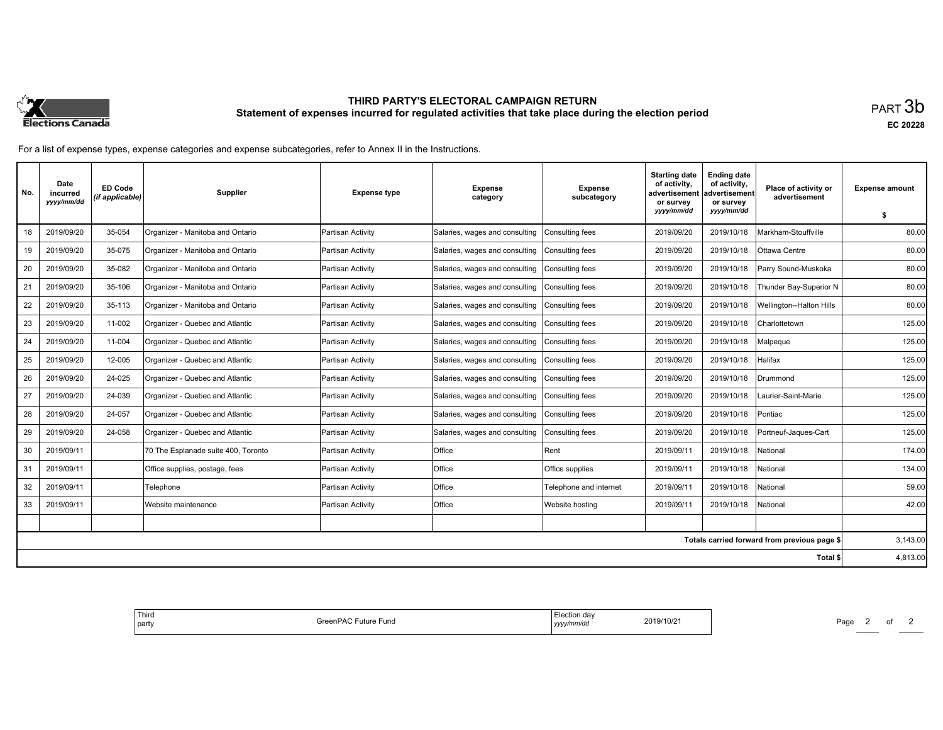

# **THIRD PARTY'S ELECTORAL CAMPAIGN RETURN Statement of expenses incurred for regulated activities that take place during the election period**<br>PART  $3\mathsf{b}$

**EC 20228**

For a list of expense types, expense categories and expense subcategories, refer to Annex II in the Instructions.

| No. | Date<br>incurred<br>yyyy/mm/dd | <b>ED Code</b><br>(if applicable) | <b>Supplier</b>                     | <b>Expense type</b> | <b>Expense</b><br>category     | <b>Expense</b><br>subcategory | <b>Starting date</b><br>of activity.<br>advertisement<br>or survey | <b>Ending date</b><br>of activity,<br>advertisement<br>or survey | Place of activity or<br>advertisement        | <b>Expense amount</b> |
|-----|--------------------------------|-----------------------------------|-------------------------------------|---------------------|--------------------------------|-------------------------------|--------------------------------------------------------------------|------------------------------------------------------------------|----------------------------------------------|-----------------------|
|     |                                |                                   |                                     |                     |                                |                               | yyyy/mm/dd                                                         | yyyy/mm/dd                                                       |                                              | \$                    |
| 18  | 2019/09/20                     | 35-054                            | Organizer - Manitoba and Ontario    | Partisan Activity   | Salaries, wages and consulting | Consulting fees               | 2019/09/20                                                         | 2019/10/18                                                       | Markham-Stouffville                          | 80.00                 |
| 19  | 2019/09/20                     | 35-075                            | Organizer - Manitoba and Ontario    | Partisan Activity   | Salaries, wages and consulting | Consulting fees               | 2019/09/20                                                         | 2019/10/18                                                       | Ottawa Centre                                | 80.00                 |
| 20  | 2019/09/20                     | 35-082                            | Organizer - Manitoba and Ontario    | Partisan Activity   | Salaries, wages and consulting | Consulting fees               | 2019/09/20                                                         | 2019/10/18                                                       | Parry Sound-Muskoka                          | 80.00                 |
| 21  | 2019/09/20                     | 35-106                            | Organizer - Manitoba and Ontario    | Partisan Activity   | Salaries, wages and consulting | Consulting fees               | 2019/09/20                                                         | 2019/10/18                                                       | Thunder Bay-Superior N                       | 80.00                 |
| 22  | 2019/09/20                     | 35-113                            | Organizer - Manitoba and Ontario    | Partisan Activity   | Salaries, wages and consulting | Consulting fees               | 2019/09/20                                                         | 2019/10/18                                                       | <b>Wellington--Halton Hills</b>              | 80.00                 |
| 23  | 2019/09/20                     | 11-002                            | Organizer - Quebec and Atlantic     | Partisan Activity   | Salaries, wages and consulting | Consulting fees               | 2019/09/20                                                         | 2019/10/18                                                       | Charlottetown                                | 125.00                |
| 24  | 2019/09/20                     | 11-004                            | Organizer - Quebec and Atlantic     | Partisan Activity   | Salaries, wages and consulting | Consulting fees               | 2019/09/20                                                         | 2019/10/18                                                       | Malpeque                                     | 125.00                |
| 25  | 2019/09/20                     | 12-005                            | Organizer - Quebec and Atlantic     | Partisan Activity   | Salaries, wages and consulting | Consulting fees               | 2019/09/20                                                         | 2019/10/18                                                       | Halifax                                      | 125.00                |
| 26  | 2019/09/20                     | 24-025                            | Organizer - Quebec and Atlantic     | Partisan Activity   | Salaries, wages and consulting | Consulting fees               | 2019/09/20                                                         | 2019/10/18                                                       | Drummond                                     | 125.00                |
| 27  | 2019/09/20                     | 24-039                            | Organizer - Quebec and Atlantic     | Partisan Activity   | Salaries, wages and consulting | Consulting fees               | 2019/09/20                                                         | 2019/10/18                                                       | Laurier-Saint-Marie                          | 125.00                |
| 28  | 2019/09/20                     | 24-057                            | Organizer - Quebec and Atlantic     | Partisan Activity   | Salaries, wages and consulting | Consulting fees               | 2019/09/20                                                         | 2019/10/18                                                       | Pontiac                                      | 125.00                |
| 29  | 2019/09/20                     | 24-058                            | Organizer - Quebec and Atlantic     | Partisan Activity   | Salaries, wages and consulting | Consulting fees               | 2019/09/20                                                         | 2019/10/18                                                       | Portneuf-Jaques-Cart                         | 125.00                |
| 30  | 2019/09/11                     |                                   | 70 The Esplanade suite 400, Toronto | Partisan Activity   | Office                         | Rent                          | 2019/09/11                                                         | 2019/10/18                                                       | National                                     | 174.00                |
| 31  | 2019/09/11                     |                                   | Office supplies, postage, fees      | Partisan Activity   | <b>Office</b>                  | Office supplies               | 2019/09/11                                                         | 2019/10/18                                                       | National                                     | 134.00                |
| 32  | 2019/09/11                     |                                   | Telephone                           | Partisan Activity   | Office                         | Telephone and internet        | 2019/09/11                                                         | 2019/10/18                                                       | National                                     | 59.00                 |
| 33  | 2019/09/11                     |                                   | Website maintenance                 | Partisan Activity   | Office                         | Website hosting               | 2019/09/11                                                         | 2019/10/18                                                       | National                                     | 42.00                 |
|     |                                |                                   |                                     |                     |                                |                               |                                                                    |                                                                  |                                              |                       |
|     |                                |                                   |                                     |                     |                                |                               |                                                                    |                                                                  | Totals carried forward from previous page \$ | 3,143.00              |
|     |                                |                                   |                                     |                     |                                |                               |                                                                    |                                                                  | Total \$                                     | 4,813.00              |

| <sup>!</sup> Third<br>Election day<br>2019/10/21<br>GreenPAC F<br><sup>=</sup> uture Fund<br>l party<br>yyyy/mm/dd |
|--------------------------------------------------------------------------------------------------------------------|
|--------------------------------------------------------------------------------------------------------------------|

Page 2 of 2